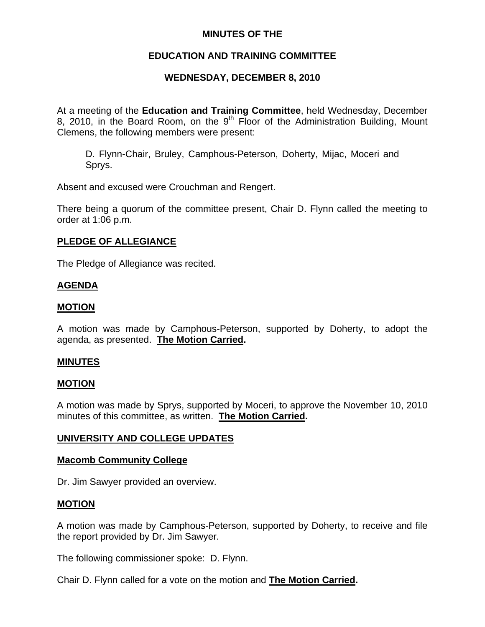## **MINUTES OF THE**

# **EDUCATION AND TRAINING COMMITTEE**

# **WEDNESDAY, DECEMBER 8, 2010**

At a meeting of the **Education and Training Committee**, held Wednesday, December 8, 2010, in the Board Room, on the  $9<sup>th</sup>$  Floor of the Administration Building, Mount Clemens, the following members were present:

D. Flynn-Chair, Bruley, Camphous-Peterson, Doherty, Mijac, Moceri and Sprys.

Absent and excused were Crouchman and Rengert.

There being a quorum of the committee present, Chair D. Flynn called the meeting to order at 1:06 p.m.

## **PLEDGE OF ALLEGIANCE**

The Pledge of Allegiance was recited.

## **AGENDA**

## **MOTION**

A motion was made by Camphous-Peterson, supported by Doherty, to adopt the agenda, as presented. **The Motion Carried.** 

## **MINUTES**

## **MOTION**

A motion was made by Sprys, supported by Moceri, to approve the November 10, 2010 minutes of this committee, as written. **The Motion Carried.** 

## **UNIVERSITY AND COLLEGE UPDATES**

### **Macomb Community College**

Dr. Jim Sawyer provided an overview.

## **MOTION**

A motion was made by Camphous-Peterson, supported by Doherty, to receive and file the report provided by Dr. Jim Sawyer.

The following commissioner spoke: D. Flynn.

Chair D. Flynn called for a vote on the motion and **The Motion Carried.**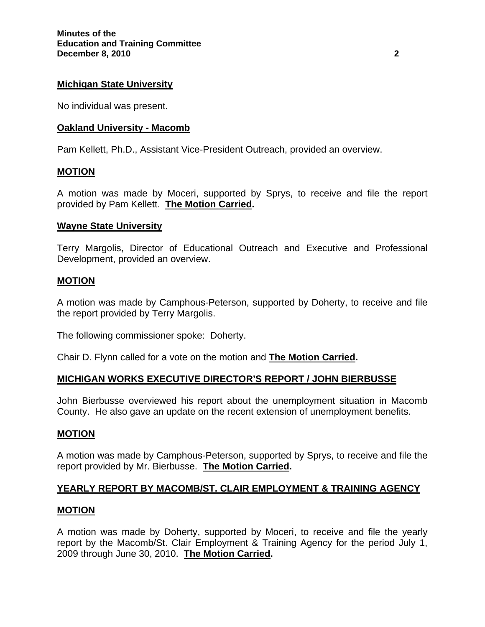### **Michigan State University**

No individual was present.

### **Oakland University - Macomb**

Pam Kellett, Ph.D., Assistant Vice-President Outreach, provided an overview.

### **MOTION**

A motion was made by Moceri, supported by Sprys, to receive and file the report provided by Pam Kellett. **The Motion Carried.** 

### **Wayne State University**

Terry Margolis, Director of Educational Outreach and Executive and Professional Development, provided an overview.

### **MOTION**

A motion was made by Camphous-Peterson, supported by Doherty, to receive and file the report provided by Terry Margolis.

The following commissioner spoke: Doherty.

Chair D. Flynn called for a vote on the motion and **The Motion Carried.** 

### **MICHIGAN WORKS EXECUTIVE DIRECTOR'S REPORT / JOHN BIERBUSSE**

John Bierbusse overviewed his report about the unemployment situation in Macomb County. He also gave an update on the recent extension of unemployment benefits.

#### **MOTION**

A motion was made by Camphous-Peterson, supported by Sprys, to receive and file the report provided by Mr. Bierbusse. **The Motion Carried.** 

### **YEARLY REPORT BY MACOMB/ST. CLAIR EMPLOYMENT & TRAINING AGENCY**

#### **MOTION**

A motion was made by Doherty, supported by Moceri, to receive and file the yearly report by the Macomb/St. Clair Employment & Training Agency for the period July 1, 2009 through June 30, 2010. **The Motion Carried.**